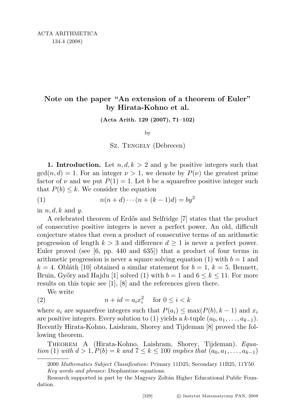## Note on the paper "An extension of a theorem of Euler" by Hirata-Kohno et al.

(Acta Arith. 129 (2007), 71–102)

by

Sz. Tengely (Debrecen)

**1. Introduction.** Let  $n, d, k > 2$  and y be positive integers such that  $gcd(n, d) = 1$ . For an integer  $\nu > 1$ , we denote by  $P(\nu)$  the greatest prime factor of  $\nu$  and we put  $P(1) = 1$ . Let b be a squarefree positive integer such that  $P(b) \leq k$ . We consider the equation

$$
(1) \qquad \qquad n(n+d)\cdots(n+(k-1)d) = by^2
$$

in  $n, d, k$  and  $y$ .

A celebrated theorem of Erd˝os and Selfridge [7] states that the product of consecutive positive integers is never a perfect power. An old, difficult conjecture states that even a product of consecutive terms of an arithmetic progression of length  $k > 3$  and difference  $d \geq 1$  is never a perfect power. Euler proved (see [6, pp. 440 and 635]) that a product of four terms in arithmetic progression is never a square solving equation (1) with  $b = 1$  and  $k = 4$ . Obláth [10] obtained a similar statement for  $b = 1, k = 5$ . Bennett, Bruin, Győry and Hajdu [1] solved (1) with  $b = 1$  and  $6 \leq k \leq 11$ . For more results on this topic see [1], [8] and the references given there.

We write

(2) 
$$
n + id = a_i x_i^2 \quad \text{for } 0 \le i < k
$$

where  $a_i$  are squarefree integers such that  $P(a_i) \leq \max(P(b), k-1)$  and  $x_i$ are positive integers. Every solution to (1) yields a k-tuple  $(a_0, a_1, \ldots, a_{k-1})$ . Recently Hirata-Kohno, Laishram, Shorey and Tijdeman [8] proved the following theorem.

THEOREM A (Hirata-Kohno, Laishram, Shorey, Tijdeman). Equation (1) with  $d > 1, P(b) = k$  and  $7 \le k \le 100$  implies that  $(a_0, a_1, \ldots, a_{k-1})$ 

<sup>2000</sup> Mathematics Subject Classification: Primary 11D25; Secondary 11B25, 11Y50. Key words and phrases: Diophantine equations.

Research supported in part by the Magyary Zoltán Higher Educational Public Foundation.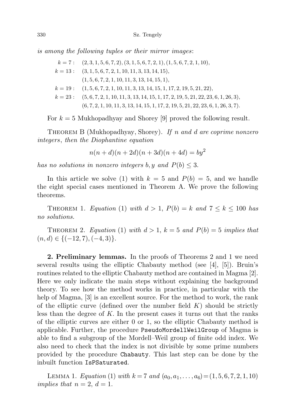is among the following tuples or their mirror images:

$$
k = 7: (2, 3, 1, 5, 6, 7, 2), (3, 1, 5, 6, 7, 2, 1), (1, 5, 6, 7, 2, 1, 10),
$$
  
\n
$$
k = 13: (3, 1, 5, 6, 7, 2, 1, 10, 11, 3, 13, 14, 15),
$$
  
\n
$$
(1, 5, 6, 7, 2, 1, 10, 11, 3, 13, 14, 15, 1),
$$
  
\n
$$
k = 19: (1, 5, 6, 7, 2, 1, 10, 11, 3, 13, 14, 15, 1, 17, 2, 19, 5, 21, 22),
$$
  
\n
$$
k = 23: (5, 6, 7, 2, 1, 10, 11, 3, 13, 14, 15, 1, 17, 2, 19, 5, 21, 22, 23, 6, 1, 26, 3),
$$
  
\n
$$
(6, 7, 2, 1, 10, 11, 3, 13, 14, 15, 1, 17, 2, 19, 5, 21, 22, 23, 6, 1, 26, 3, 7).
$$

For  $k = 5$  Mukhopadhyay and Shorey [9] proved the following result.

THEOREM B (Mukhopadhyay, Shorey). If n and d are coprime nonzero integers, then the Diophantine equation

$$
n(n+d)(n+2d)(n+3d)(n+4d) = by2
$$

has no solutions in nonzero integers b, y and  $P(b) \leq 3$ .

In this article we solve (1) with  $k = 5$  and  $P(b) = 5$ , and we handle the eight special cases mentioned in Theorem A. We prove the following theorems.

THEOREM 1. Equation (1) with  $d > 1$ ,  $P(b) = k$  and  $7 \le k \le 100$  has no solutions.

THEOREM 2. Equation (1) with  $d > 1$ ,  $k = 5$  and  $P(b) = 5$  implies that  $(n, d) \in \{(-12, 7), (-4, 3)\}.$ 

2. Preliminary lemmas. In the proofs of Theorems 2 and 1 we need several results using the elliptic Chabauty method (see [4], [5]). Bruin's routines related to the elliptic Chabauty method are contained in Magma [2]. Here we only indicate the main steps without explaining the background theory. To see how the method works in practice, in particular with the help of Magma, [3] is an excellent source. For the method to work, the rank of the elliptic curve (defined over the number field  $K$ ) should be strictly less than the degree of  $K$ . In the present cases it turns out that the ranks of the elliptic curves are either 0 or 1, so the elliptic Chabauty method is applicable. Further, the procedure PseudoMordellWeilGroup of Magma is able to find a subgroup of the Mordell–Weil group of finite odd index. We also need to check that the index is not divisible by some prime numbers provided by the procedure Chabauty. This last step can be done by the inbuilt function IsPSaturated.

LEMMA 1. Equation (1) with  $k = 7$  and  $(a_0, a_1, \ldots, a_6) = (1, 5, 6, 7, 2, 1, 10)$ implies that  $n = 2, d = 1$ .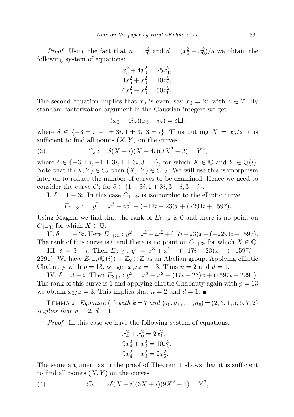*Proof.* Using the fact that  $n = x_0^2$  and  $d = (x_5^2 - x_0^2)/5$  we obtain the following system of equations:

$$
x_5^2 + 4x_0^2 = 25x_1^2,
$$
  
\n
$$
4x_5^2 + x_0^2 = 10x_4^2,
$$
  
\n
$$
6x_5^2 - x_0^2 = 50x_6^2.
$$

The second equation implies that  $x_0$  is even, say  $x_0 = 2z$  with  $z \in \mathbb{Z}$ . By standard factorization argument in the Gaussian integers we get

$$
(x_5 + 4iz)(x_5 + iz) = \delta \Box,
$$

where  $\delta \in \{-3 \pm i, -1 \pm 3i, 1 \pm 3i, 3 \pm i\}$ . Thus putting  $X = x_5/z$  it is sufficient to find all points  $(X, Y)$  on the curves

(3) 
$$
C_{\delta}: \quad \delta(X+i)(X+4i)(3X^2-2) = Y^2,
$$

where  $\delta \in \{-3 \pm i, -1 \pm 3i, 1 \pm 3i, 3 \pm i\}$ , for which  $X \in \mathbb{Q}$  and  $Y \in \mathbb{Q}(i)$ . Note that if  $(X, Y) \in C_{\delta}$  then  $(X, iY) \in C_{-\delta}$ . We will use this isomorphism later on to reduce the number of curves to be examined. Hence we need to consider the curve  $C_{\delta}$  for  $\delta \in \{1-3i, 1+3i, 3-i, 3+i\}.$ 

I.  $\delta = 1 - 3i$ . In this case  $C_{1-3i}$  is isomorphic to the elliptic curve

$$
E_{1-3i}: \quad y^2 = x^3 + ix^2 + (-17i - 23)x + (2291i + 1597).
$$

Using Magma we find that the rank of  $E_{1-3i}$  is 0 and there is no point on  $C_{1-3i}$  for which  $X \in \mathbb{Q}$ .

II.  $\delta = 1 + 3i$ . Here  $E_{1+3i}$ :  $y^2 = x^3 - ix^2 + (17i - 23)x + (-2291i + 1597)$ . The rank of this curve is 0 and there is no point on  $C_{1+3i}$  for which  $X \in \mathbb{Q}$ .

III.  $\delta = 3 - i$ . Then  $E_{3-i}$ :  $y^2 = x^3 + x^2 + (-17i + 23)x + (-1597i -$ 2291). We have  $E_{3-i}(\mathbb{Q}(i)) \simeq \mathbb{Z}_2 \oplus \mathbb{Z}$  as an Abelian group. Applying elliptic Chabauty with  $p = 13$ , we get  $x_5/z = -3$ . Thus  $n = 2$  and  $d = 1$ .

IV.  $\delta = 3 + i$ . Then  $E_{3+i}$ :  $y^2 = x^3 + x^2 + (17i + 23)x + (1597i - 2291)$ . The rank of this curve is 1 and applying elliptic Chabauty again with  $p = 13$ we obtain  $x_5/z = 3$ . This implies that  $n = 2$  and  $d = 1$ .

LEMMA 2. Equation (1) with  $k = 7$  and  $(a_0, a_1, \ldots, a_6) = (2, 3, 1, 5, 6, 7, 2)$ implies that  $n = 2, d = 1$ .

Proof. In this case we have the following system of equations:

$$
x_4^2 + x_0^2 = 2x_1^2,
$$
  
\n
$$
9x_4^2 + x_0^2 = 10x_3^2,
$$
  
\n
$$
9x_4^2 - x_0^2 = 2x_6^2.
$$

The same argument as in the proof of Theorem 1 shows that it is sufficient to find all points  $(X, Y)$  on the curves

(4) 
$$
C_{\delta}: \quad 2\delta(X+i)(3X+i)(9X^2-1) = Y^2,
$$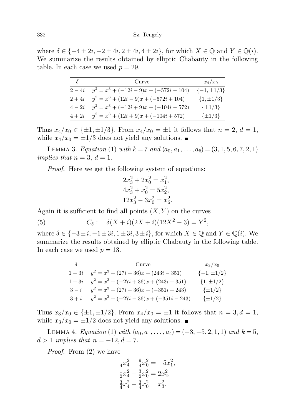where  $\delta \in \{-4 \pm 2i, -2 \pm 4i, 2 \pm 4i, 4 \pm 2i\}$ , for which  $X \in \mathbb{Q}$  and  $Y \in \mathbb{Q}(i)$ . We summarize the results obtained by elliptic Chabauty in the following table. In each case we used  $p = 29$ .

| $\delta$ | Curve                                     | $x_4/x_0$         |
|----------|-------------------------------------------|-------------------|
| $2-4i$   | $y^2 = x^3 + (-12i - 9)x + (-572i - 104)$ | $\{-1, \pm 1/3\}$ |
| $2+4i$   | $y^2 = x^3 + (12i - 9)x + (-572i + 104)$  | $\{1, \pm 1/3\}$  |
| $4-2i$   | $y^2 = x^3 + (-12i + 9)x + (-104i - 572)$ | $\{\pm 1/3\}$     |
| $4+2i$   | $y^2 = x^3 + (12i + 9)x + (-104i + 572)$  | $\{\pm 1/3\}$     |

Thus  $x_4/x_0 \in {\pm 1, \pm 1/3}$ . From  $x_4/x_0 = \pm 1$  it follows that  $n = 2, d = 1$ , while  $x_4/x_0 = \pm 1/3$  does not yield any solutions.

LEMMA 3. Equation (1) with  $k = 7$  and  $(a_0, a_1, \ldots, a_6) = (3, 1, 5, 6, 7, 2, 1)$ implies that  $n = 3$ ,  $d = 1$ .

Proof. Here we get the following system of equations:

$$
2x_3^2 + 2x_0^2 = x_1^2,
$$
  
\n
$$
4x_3^2 + x_0^2 = 5x_2^2,
$$
  
\n
$$
12x_3^2 - 3x_0^2 = x_6^2.
$$

Again it is sufficient to find all points  $(X, Y)$  on the curves

(5) 
$$
C_{\delta}: \quad \delta(X+i)(2X+i)(12X^2-3) = Y^2,
$$

where  $\delta \in \{-3\pm i, -1\pm 3i, 1\pm 3i, 3\pm i\}$ , for which  $X \in \mathbb{Q}$  and  $Y \in \mathbb{Q}(i)$ . We summarize the results obtained by elliptic Chabauty in the following table. In each case we used  $p = 13$ .

| δ      | Curve                                      | $x_3/x_0$         |
|--------|--------------------------------------------|-------------------|
| $1-3i$ | $y^2 = x^3 + (27i + 36)x + (243i - 351)$   | $\{-1, \pm 1/2\}$ |
| $1+3i$ | $y^2 = x^3 + (-27i + 36)x + (243i + 351)$  | $\{1, \pm 1/2\}$  |
| $3-i$  | $y^2 = x^3 + (27i - 36)x + (-351i + 243)$  | $\{\pm 1/2\}$     |
| $3+i$  | $y^2 = x^3 + (-27i - 36)x + (-351i - 243)$ | $\{\pm 1/2\}$     |

Thus  $x_3/x_0 \in {\pm 1, \pm 1/2}$ . From  $x_4/x_0 = \pm 1$  it follows that  $n = 3, d = 1$ , while  $x_3/x_0 = \pm 1/2$  does not yield any solutions.

LEMMA 4. Equation (1) with  $(a_0, a_1, \ldots, a_4) = (-3, -5, 2, 1, 1)$  and  $k = 5$ ,  $d > 1$  implies that  $n = -12, d = 7$ .

Proof. From (2) we have

$$
\frac{1}{4}x_4^2 - \frac{9}{4}x_0^2 = -5x_1^2, \n\frac{1}{2}x_4^2 - \frac{3}{2}x_0^2 = 2x_2^2, \n\frac{3}{4}x_4^2 - \frac{3}{4}x_0^2 = x_3^2.
$$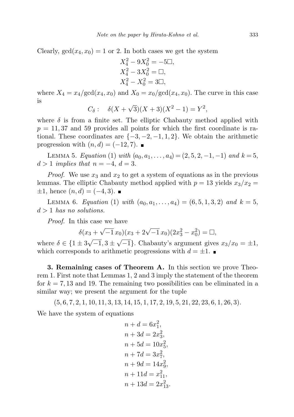Clearly,  $gcd(x_4, x_0) = 1$  or 2. In both cases we get the system

$$
X_4^2 - 9X_0^2 = -5\square,
$$
  
\n
$$
X_4^2 - 3X_0^2 = \square,
$$
  
\n
$$
X_4^2 - X_0^2 = 3\square,
$$

where  $X_4 = x_4/\text{gcd}(x_4, x_0)$  and  $X_0 = x_0/\text{gcd}(x_4, x_0)$ . The curve in this case is √

$$
C_{\delta}: \quad \delta(X+\sqrt{3})(X+3)(X^2-1) = Y^2,
$$

where  $\delta$  is from a finite set. The elliptic Chabauty method applied with  $p = 11,37$  and 59 provides all points for which the first coordinate is rational. These coordinates are  $\{-3, -2, -1, 1, 2\}$ . We obtain the arithmetic progression with  $(n, d) = (-12, 7)$ . ■

LEMMA 5. Equation (1) with  $(a_0, a_1, \ldots, a_4) = (2, 5, 2, -1, -1)$  and  $k = 5$ ,  $d > 1$  implies that  $n = -4, d = 3$ .

*Proof.* We use  $x_3$  and  $x_2$  to get a system of equations as in the previous lemmas. The elliptic Chabauty method applied with  $p = 13$  yields  $x_3/x_2 =$  $\pm 1$ , hence  $(n, d) = (-4, 3)$ .

LEMMA 6. Equation (1) with  $(a_0, a_1, \ldots, a_4) = (6, 5, 1, 3, 2)$  and  $k = 5$ ,  $d > 1$  has no solutions.

Proof. In this case we have

$$
\delta(x_3 + \sqrt{-1} x_0)(x_3 + 2\sqrt{-1} x_0)(2x_3^2 - x_0^2) = \Box,
$$

where  $\delta \in \{1 \pm 3$  $-1,3$   $\pm$  $(-1)$ . Chabauty's argument gives  $x_3/x_0 = \pm 1$ , which corresponds to arithmetic progressions with  $d = \pm 1$ .

3. Remaining cases of Theorem A. In this section we prove Theorem 1. First note that Lemmas 1, 2 and 3 imply the statement of the theorem for  $k = 7,13$  and 19. The remaining two possibilities can be eliminated in a similar way; we present the argument for the tuple

 $(5, 6, 7, 2, 1, 10, 11, 3, 13, 14, 15, 1, 17, 2, 19, 5, 21, 22, 23, 6, 1, 26, 3).$ We have the system of equations

$$
n + d = 6x_1^2,
$$
  
\n
$$
n + 3d = 2x_3^2,
$$
  
\n
$$
n + 5d = 10x_5^2,
$$
  
\n
$$
n + 7d = 3x_7^2,
$$
  
\n
$$
n + 9d = 14x_9^2,
$$
  
\n
$$
n + 11d = x_{11}^2,
$$
  
\n
$$
n + 13d = 2x_{13}^2.
$$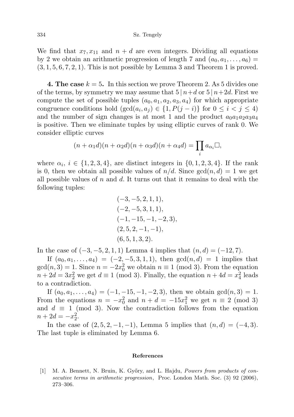We find that  $x_7, x_{11}$  and  $n + d$  are even integers. Dividing all equations by 2 we obtain an arithmetic progression of length 7 and  $(a_0, a_1, \ldots, a_6)$  =  $(3, 1, 5, 6, 7, 2, 1)$ . This is not possible by Lemma 3 and Theorem 1 is proved.

4. The case  $k = 5$ . In this section we prove Theorem 2. As 5 divides one of the terms, by symmetry we may assume that  $5 | n+d$  or  $5 | n+2d$ . First we compute the set of possible tuples  $(a_0, a_1, a_2, a_3, a_4)$  for which appropriate congruence conditions hold  $(\gcd(a_i, a_j) \in \{1, P(j - i)\}\)$  for  $0 \leq i \leq j \leq 4$ ) and the number of sign changes is at most 1 and the product  $a_0a_1a_2a_3a_4$ is positive. Then we eliminate tuples by using elliptic curves of rank 0. We consider elliptic curves

$$
(n+\alpha_1 d)(n+\alpha_2 d)(n+\alpha_3 d)(n+\alpha_4 d) = \prod_i a_{\alpha_i} \Box,
$$

where  $\alpha_i$ ,  $i \in \{1, 2, 3, 4\}$ , are distinct integers in  $\{0, 1, 2, 3, 4\}$ . If the rank is 0, then we obtain all possible values of  $n/d$ . Since  $gcd(n, d) = 1$  we get all possible values of n and d. It turns out that it remains to deal with the following tuples:

$$
(-3, -5, 2, 1, 1),(-2, -5, 3, 1, 1),(-1, -15, -1, -2, 3),(2, 5, 2, -1, -1),(6, 5, 1, 3, 2).
$$

In the case of  $(-3, -5, 2, 1, 1)$  Lemma 4 implies that  $(n, d) = (-12, 7)$ .

If  $(a_0, a_1, \ldots, a_4) = (-2, -5, 3, 1, 1)$ , then  $gcd(n, d) = 1$  implies that  $gcd(n, 3) = 1$ . Since  $n = -2x_0^2$  we obtain  $n \equiv 1 \pmod{3}$ . From the equation  $n+2d=3x_2^2$  we get  $d \equiv 1 \pmod{3}$ . Finally, the equation  $n+4d=x_4^2$  leads to a contradiction.

If  $(a_0, a_1, \ldots, a_4) = (-1, -15, -1, -2, 3)$ , then we obtain  $gcd(n, 3) = 1$ . From the equations  $n = -x_0^2$  and  $n + d = -15x_1^2$  we get  $n \equiv 2 \pmod{3}$ and  $d \equiv 1 \pmod{3}$ . Now the contradiction follows from the equation  $n + 2d = -x_2^2$ .

In the case of  $(2, 5, 2, -1, -1)$ , Lemma 5 implies that  $(n, d) = (-4, 3)$ . The last tuple is eliminated by Lemma 6.

## References

[1] M. A. Bennett, N. Bruin, K. Győry, and L. Hajdu, Powers from products of consecutive terms in arithmetic progression, Proc. London Math. Soc. (3) 92 (2006), 273–306.